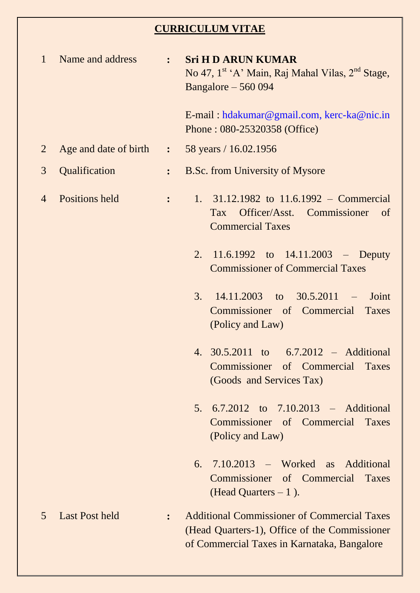## **CURRICULUM VITAE**

| $\mathbf{1}$   | Name and address                              | $\ddot{\bullet}$ | <b>Sri H D ARUN KUMAR</b><br>No 47, 1 <sup>st</sup> 'A' Main, Raj Mahal Vilas, 2 <sup>nd</sup> Stage,<br>Bangalore $-560094$                       |
|----------------|-----------------------------------------------|------------------|----------------------------------------------------------------------------------------------------------------------------------------------------|
|                |                                               |                  | E-mail: hdakumar@gmail.com, kerc-ka@nic.in<br>Phone: 080-25320358 (Office)                                                                         |
| $\overline{2}$ | Age and date of birth : 58 years / 16.02.1956 |                  |                                                                                                                                                    |
| 3              | Qualification                                 | $\ddot{\cdot}$   | <b>B.Sc. from University of Mysore</b>                                                                                                             |
| $\overline{4}$ | Positions held                                | $\ddot{\cdot}$   | 1. 31.12.1982 to 11.6.1992 – Commercial<br>Officer/Asst. Commissioner<br><b>Tax</b><br><sub>of</sub><br><b>Commercial Taxes</b>                    |
|                |                                               |                  | 2. $11.6.1992$ to $14.11.2003$ – Deputy<br><b>Commissioner of Commercial Taxes</b>                                                                 |
|                |                                               |                  | $14.11.2003$ to $30.5.2011$ -<br>3.<br>Joint<br>Commissioner of Commercial Taxes<br>(Policy and Law)                                               |
|                |                                               |                  | 4. 30.5.2011 to 6.7.2012 – Additional<br>Commissioner of Commercial Taxes<br>(Goods and Services Tax)                                              |
|                |                                               |                  | $6.7.2012$ to $7.10.2013$ – Additional<br>5.<br>Commissioner of Commercial<br>Taxes<br>(Policy and Law)                                            |
|                |                                               |                  | 7.10.2013 – Worked as Additional<br>6.<br>Commissioner of Commercial<br>Taxes<br>(Head Quarters $-1$ ).                                            |
| $\overline{5}$ | <b>Last Post held</b>                         | $\ddot{\cdot}$   | <b>Additional Commissioner of Commercial Taxes</b><br>(Head Quarters-1), Office of the Commissioner<br>of Commercial Taxes in Karnataka, Bangalore |